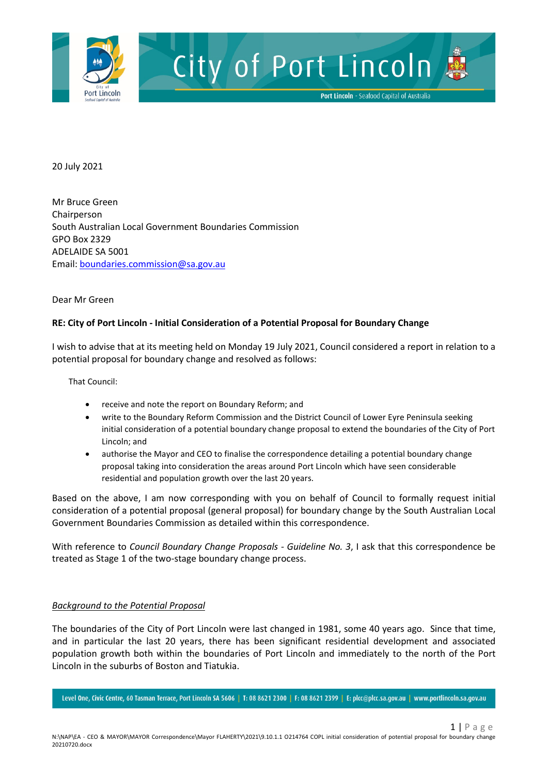

20 July 2021

Mr Bruce Green Chairperson South Australian Local Government Boundaries Commission GPO Box 2329 ADELAIDE SA 5001 Email[: boundaries.commission@sa.gov.au](mailto:boundaries.commission@sa.gov.au)

#### Dear Mr Green

### **RE: City of Port Lincoln - Initial Consideration of a Potential Proposal for Boundary Change**

I wish to advise that at its meeting held on Monday 19 July 2021, Council considered a report in relation to a potential proposal for boundary change and resolved as follows:

That Council:

- receive and note the report on Boundary Reform; and
- write to the Boundary Reform Commission and the District Council of Lower Eyre Peninsula seeking initial consideration of a potential boundary change proposal to extend the boundaries of the City of Port Lincoln; and
- authorise the Mayor and CEO to finalise the correspondence detailing a potential boundary change proposal taking into consideration the areas around Port Lincoln which have seen considerable residential and population growth over the last 20 years.

Based on the above, I am now corresponding with you on behalf of Council to formally request initial consideration of a potential proposal (general proposal) for boundary change by the South Australian Local Government Boundaries Commission as detailed within this correspondence.

With reference to *Council Boundary Change Proposals - Guideline No. 3*, I ask that this correspondence be treated as Stage 1 of the two-stage boundary change process.

### *Background to the Potential Proposal*

The boundaries of the City of Port Lincoln were last changed in 1981, some 40 years ago. Since that time, and in particular the last 20 years, there has been significant residential development and associated population growth both within the boundaries of Port Lincoln and immediately to the north of the Port Lincoln in the suburbs of Boston and Tiatukia.

Level One, Civic Centre, 60 Tasman Terrace, Port Lincoln SA 5606 | T: 08 8621 2300 | F: 08 8621 2399 | E: plcc@plcc.sa.gov.au | www.portlincoln.sa.gov.au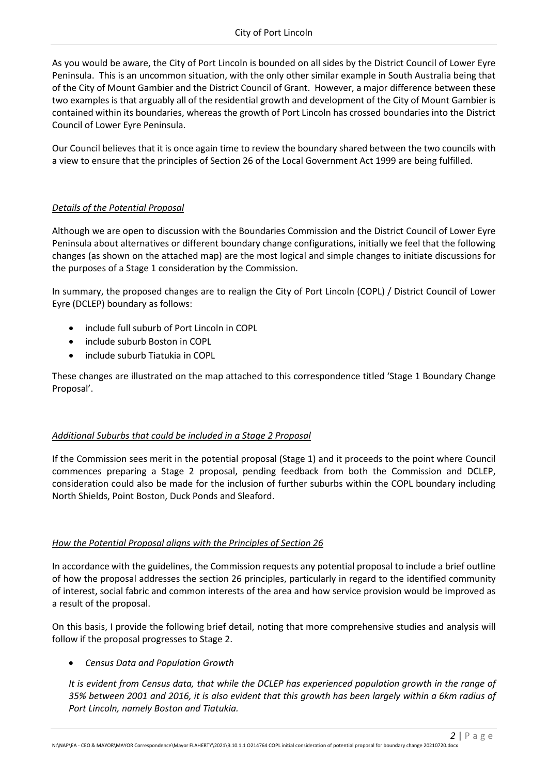As you would be aware, the City of Port Lincoln is bounded on all sides by the District Council of Lower Eyre Peninsula. This is an uncommon situation, with the only other similar example in South Australia being that of the City of Mount Gambier and the District Council of Grant. However, a major difference between these two examples is that arguably all of the residential growth and development of the City of Mount Gambier is contained within its boundaries, whereas the growth of Port Lincoln has crossed boundaries into the District Council of Lower Eyre Peninsula.

Our Council believes that it is once again time to review the boundary shared between the two councils with a view to ensure that the principles of Section 26 of the Local Government Act 1999 are being fulfilled.

# *Details of the Potential Proposal*

Although we are open to discussion with the Boundaries Commission and the District Council of Lower Eyre Peninsula about alternatives or different boundary change configurations, initially we feel that the following changes (as shown on the attached map) are the most logical and simple changes to initiate discussions for the purposes of a Stage 1 consideration by the Commission.

In summary, the proposed changes are to realign the City of Port Lincoln (COPL) / District Council of Lower Eyre (DCLEP) boundary as follows:

- include full suburb of Port Lincoln in COPL
- include suburb Boston in COPL
- include suburb Tiatukia in COPL

These changes are illustrated on the map attached to this correspondence titled 'Stage 1 Boundary Change Proposal'.

# *Additional Suburbs that could be included in a Stage 2 Proposal*

If the Commission sees merit in the potential proposal (Stage 1) and it proceeds to the point where Council commences preparing a Stage 2 proposal, pending feedback from both the Commission and DCLEP, consideration could also be made for the inclusion of further suburbs within the COPL boundary including North Shields, Point Boston, Duck Ponds and Sleaford.

### *How the Potential Proposal aligns with the Principles of Section 26*

In accordance with the guidelines, the Commission requests any potential proposal to include a brief outline of how the proposal addresses the section 26 principles, particularly in regard to the identified community of interest, social fabric and common interests of the area and how service provision would be improved as a result of the proposal.

On this basis, I provide the following brief detail, noting that more comprehensive studies and analysis will follow if the proposal progresses to Stage 2.

• *Census Data and Population Growth*

*It is evident from Census data, that while the DCLEP has experienced population growth in the range of 35% between 2001 and 2016, it is also evident that this growth has been largely within a 6km radius of Port Lincoln, namely Boston and Tiatukia.*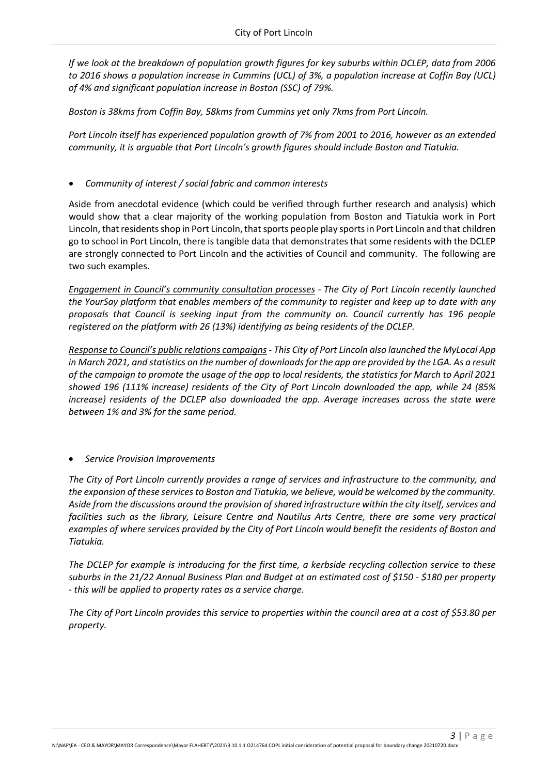*If we look at the breakdown of population growth figures for key suburbs within DCLEP, data from 2006 to 2016 shows a population increase in Cummins (UCL) of 3%, a population increase at Coffin Bay (UCL) of 4% and significant population increase in Boston (SSC) of 79%.*

*Boston is 38kms from Coffin Bay, 58kms from Cummins yet only 7kms from Port Lincoln.*

*Port Lincoln itself has experienced population growth of 7% from 2001 to 2016, however as an extended community, it is arguable that Port Lincoln's growth figures should include Boston and Tiatukia.*

• *Community of interest / social fabric and common interests*

Aside from anecdotal evidence (which could be verified through further research and analysis) which would show that a clear majority of the working population from Boston and Tiatukia work in Port Lincoln, that residents shop in Port Lincoln, that sports people play sports in Port Lincoln and that children go to school in Port Lincoln, there is tangible data that demonstrates that some residents with the DCLEP are strongly connected to Port Lincoln and the activities of Council and community. The following are two such examples.

*Engagement in Council's community consultation processes - The City of Port Lincoln recently launched the YourSay platform that enables members of the community to register and keep up to date with any proposals that Council is seeking input from the community on. Council currently has 196 people registered on the platform with 26 (13%) identifying as being residents of the DCLEP.*

*Response to Council's public relations campaigns - This City of Port Lincoln also launched the MyLocal App in March 2021, and statistics on the number of downloads for the app are provided by the LGA. As a result of the campaign to promote the usage of the app to local residents, the statistics for March to April 2021 showed 196 (111% increase) residents of the City of Port Lincoln downloaded the app, while 24 (85% increase) residents of the DCLEP also downloaded the app. Average increases across the state were between 1% and 3% for the same period.*

• *Service Provision Improvements*

*The City of Port Lincoln currently provides a range of services and infrastructure to the community, and the expansion of these services to Boston and Tiatukia, we believe, would be welcomed by the community. Aside from the discussions around the provision of shared infrastructure within the city itself, services and facilities such as the library, Leisure Centre and Nautilus Arts Centre, there are some very practical examples of where services provided by the City of Port Lincoln would benefit the residents of Boston and Tiatukia.*

*The DCLEP for example is introducing for the first time, a kerbside recycling collection service to these suburbs in the 21/22 Annual Business Plan and Budget at an estimated cost of \$150 - \$180 per property - this will be applied to property rates as a service charge.* 

*The City of Port Lincoln provides this service to properties within the council area at a cost of \$53.80 per property.*